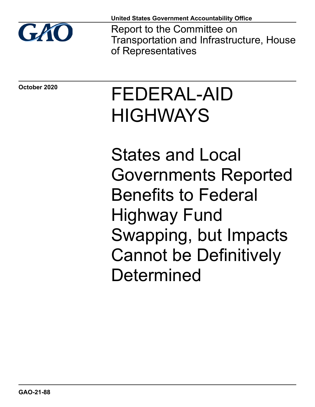

**United States Government Accountability Office**

Report to the Committee on Transportation and Infrastructure, House of Representatives

**October 2020**

# FEDERAL-AID **HIGHWAYS**

States and Local Governments Reported Benefits to Federal Highway Fund Swapping, but Impacts Cannot be Definitively **Determined**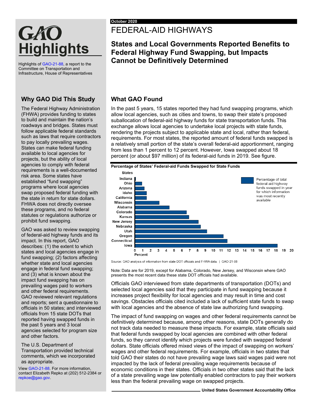## GAO **Highlights**

Highlights o[f GAO-21-88,](https://www.gao.gov/products/GAO-21-88) a report to the Committee on Transportation and Infrastructure, House of Representatives

#### **Why GAO Did This Study**

The Federal Highway Administration (FHWA) provides funding to states to build and maintain the nation's roadways and bridges. States must follow applicable federal standards such as laws that require contractors to pay locally prevailing wages. States can make federal funding available to local agencies for projects, but the ability of local agencies to comply with federal requirements is a well-documented risk area. Some states have established "fund swapping" programs where local agencies swap proposed federal funding with the state in return for state dollars. FHWA does not directly oversee these programs, and no federal statutes or regulations authorize or prohibit fund swapping.

GAO was asked to review swapping of federal-aid highway funds and its impact. In this report, GAO describes: (1) the extent to which states and local agencies engage in fund swapping; (2) factors affecting whether state and local agencies engage in federal fund swapping; and (3) what is known about the impact fund swapping has on prevailing wages paid to workers and other federal requirements. GAO reviewed relevant regulations and reports; sent a questionnaire to officials in 50 states; and interviewed officials from 15 state DOTs that reported having swapped funds in the past 5 years and 3 local agencies selected for program size and other factors.

The U.S. Department of Transportation provided technical comments, which we incorporated as appropriate.

Vie[w GAO-21-88.](https://www.gao.gov/products/GAO-21-88) For more information, contact Elizabeth Repko at (202) 512-2384 or [repkoe@gao.gov.](mailto:repkoe@gao.go)

## FEDERAL-AID HIGHWAYS

### **States and Local Governments Reported Benefits to Federal Highway Fund Swapping, but Impacts Cannot be Definitively Determined**

#### **What GAO Found**

In the past 5 years, 15 states reported they had fund swapping programs, which allow local agencies, such as cities and towns, to swap their state's proposed suballocation of federal-aid highway funds for state transportation funds. This exchange allows local agencies to undertake local projects with state funds, rendering the projects subject to applicable state and local, rather than federal, requirements. For most states, the reported amount of federal funds swapped is a relatively small portion of the state's overall federal-aid apportionment, ranging from less than 1 percent to 12 percent. However, Iowa swapped about 18 percent (or about \$97 million) of its federal-aid funds in 2019. See figure.



Source: GAO analysis of information from state DOT officials and FHWA data. | GAO-21-88

Note: Data are for 2019, except for Alabama, Colorado, New Jersey, and Wisconsin where GAO presents the most recent data these state DOT officials had available.

Officials GAO interviewed from state departments of transportation (DOTs) and selected local agencies said that they participate in fund swapping because it increases project flexibility for local agencies and may result in time and cost savings. Obstacles officials cited included a lack of sufficient state funds to swap with local agencies and the absence of state law authorizing fund swapping.

The impact of fund swapping on wages and other federal requirements cannot be definitively determined because, among other reasons, state DOTs generally do not track data needed to measure these impacts. For example, state officials said that federal funds swapped by local agencies are combined with other federal funds, so they cannot identify which projects were funded with swapped federal dollars. State officials offered mixed views of the impact of swapping on workers' wages and other federal requirements. For example, officials in two states that told GAO their states do not have prevailing wage laws said wages paid were not impacted by the lack of federal prevailing wage requirements because of economic conditions in their states. Officials in two other states said that the lack of a state prevailing wage law potentially enabled contractors to pay their workers less than the federal prevailing wage on swapped projects.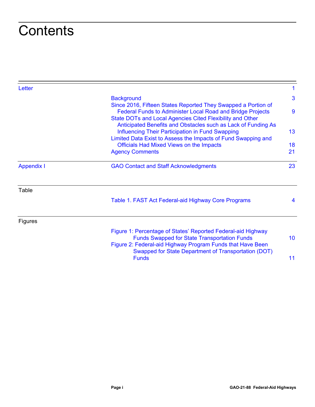## **Contents**

| Letter         |                                                                                                                                                                                                                                                                                                                                                                                                                                                 |                            |                        |                                              |
|----------------|-------------------------------------------------------------------------------------------------------------------------------------------------------------------------------------------------------------------------------------------------------------------------------------------------------------------------------------------------------------------------------------------------------------------------------------------------|----------------------------|------------------------|----------------------------------------------|
|                | <b>Background</b>                                                                                                                                                                                                                                                                                                                                                                                                                               | 3                          |                        |                                              |
|                | Since 2016, Fifteen States Reported They Swapped a Portion of<br><b>Federal Funds to Administer Local Road and Bridge Projects</b><br>State DOTs and Local Agencies Cited Flexibility and Other<br>Anticipated Benefits and Obstacles such as Lack of Funding As<br><b>Influencing Their Participation in Fund Swapping</b><br>Limited Data Exist to Assess the Impacts of Fund Swapping and<br><b>Officials Had Mixed Views on the Impacts</b> | 9<br>13 <sup>°</sup><br>18 |                        |                                              |
|                |                                                                                                                                                                                                                                                                                                                                                                                                                                                 |                            | <b>Agency Comments</b> | 21                                           |
|                |                                                                                                                                                                                                                                                                                                                                                                                                                                                 |                            | <b>Appendix I</b>      | <b>GAO Contact and Staff Acknowledgments</b> |
|                | Table                                                                                                                                                                                                                                                                                                                                                                                                                                           |                            |                        |                                              |
|                | Table 1. FAST Act Federal-aid Highway Core Programs                                                                                                                                                                                                                                                                                                                                                                                             | 4                          |                        |                                              |
| <b>Figures</b> |                                                                                                                                                                                                                                                                                                                                                                                                                                                 |                            |                        |                                              |
|                | Figure 1: Percentage of States' Reported Federal-aid Highway<br><b>Funds Swapped for State Transportation Funds</b><br>Figure 2: Federal-aid Highway Program Funds that Have Been                                                                                                                                                                                                                                                               | 10 <sup>°</sup>            |                        |                                              |
|                | <b>Swapped for State Department of Transportation (DOT)</b><br><b>Funds</b>                                                                                                                                                                                                                                                                                                                                                                     | 11                         |                        |                                              |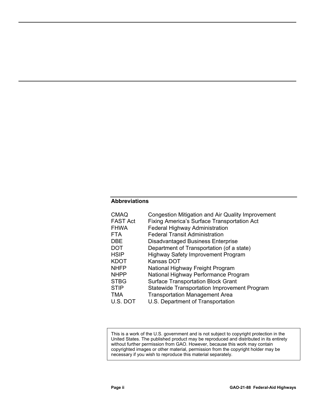#### **Abbreviations**

| <b>CMAQ</b><br><b>FAST Act</b> | <b>Congestion Mitigation and Air Quality Improvement</b><br><b>Fixing America's Surface Transportation Act</b> |
|--------------------------------|----------------------------------------------------------------------------------------------------------------|
| <b>FHWA</b>                    | Federal Highway Administration                                                                                 |
| <b>FTA</b>                     | <b>Federal Transit Administration</b>                                                                          |
| <b>DBE</b>                     | <b>Disadvantaged Business Enterprise</b>                                                                       |
| <b>DOT</b>                     | Department of Transportation (of a state)                                                                      |
| <b>HSIP</b>                    | <b>Highway Safety Improvement Program</b>                                                                      |
| <b>KDOT</b>                    | Kansas DOT                                                                                                     |
| <b>NHFP</b>                    | National Highway Freight Program                                                                               |
| <b>NHPP</b>                    | National Highway Performance Program                                                                           |
| <b>STBG</b>                    | <b>Surface Transportation Block Grant</b>                                                                      |
| <b>STIP</b>                    | <b>Statewide Transportation Improvement Program</b>                                                            |
| <b>TMA</b>                     | <b>Transportation Management Area</b>                                                                          |
| U.S. DOT                       | U.S. Department of Transportation                                                                              |

This is a work of the U.S. government and is not subject to copyright protection in the United States. The published product may be reproduced and distributed in its entirety without further permission from GAO. However, because this work may contain copyrighted images or other material, permission from the copyright holder may be necessary if you wish to reproduce this material separately.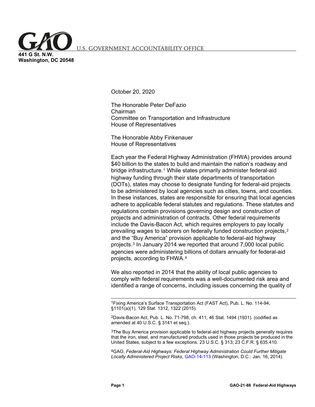<span id="page-4-0"></span>S. GOVERNMENT ACCOUNTABILITY OFFICE

**441 G St. N.W. Washington, DC 20548**

October 20, 2020

The Honorable Peter DeFazio Chairman Committee on Transportation and Infrastructure House of Representatives

The Honorable Abby Finkenauer House of Representatives

Each year the Federal Highway Administration (FHWA) provides around \$40 billion to the states to build and maintain the nation's roadway and bridge infrastructure.[1](#page-4-1) While states primarily administer federal-aid highway funding through their state departments of transportation (DOTs), states may choose to designate funding for federal-aid projects to be administered by local agencies such as cities, towns, and counties. In these instances, states are responsible for ensuring that local agencies adhere to applicable federal statutes and regulations. These statutes and regulations contain provisions governing design and construction of projects and administration of contracts. Other federal requirements include the Davis-Bacon Act, which requires employers to pay locally prevailing wages to laborers on federally funded construction projects,[2](#page-4-2) and the "Buy America" provision applicable to federal-aid highway projects.[3](#page-4-3) In January 2014 we reported that around 7,000 local public agencies were administering billions of dollars annually for federal-aid projects, according to FHWA.[4](#page-4-4)

We also reported in 2014 that the ability of local public agencies to comply with federal requirements was a well-documented risk area and identified a range of concerns, including issues concerning the quality of

<span id="page-4-1"></span> 1Fixing America's Surface Transportation Act (FAST Act), Pub. L. No. 114-94, §1101(a)(1), 129 Stat. 1312, 1322 (2015).

<span id="page-4-2"></span>2Davis-Bacon Act, Pub. L. No. 71-798, ch. 411, 46 Stat. 1494 (1931). (codified as amended at 40 U.S.C. § 3141 et seq.).

<span id="page-4-3"></span> $3$ The Buy America provision applicable to federal-aid highway projects generally requires that the iron, steel, and manufactured products used in those projects be produced in the United States, subject to a few exceptions. 23 U.S.C. § 313; 23 C.F.R. § 635.410.

<span id="page-4-4"></span>4GAO, *Federal-Aid Highways: Federal Highway Administration Could Further Mitigate Locally Administered Project Risks*, [GAO-14-113 \(](https://www.gao.gov/products/GAO-14-113)Washington, D.C.: Jan. 16, 2014).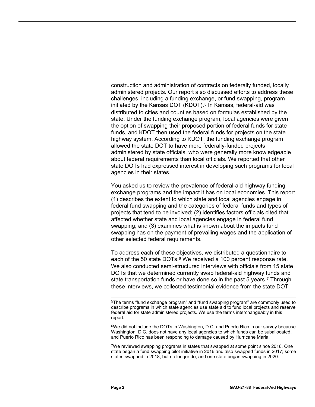construction and administration of contracts on federally funded, locally administered projects. Our report also discussed efforts to address these challenges, including a funding exchange, or fund swapping, program initiated by the Kansas DOT (KDOT).<sup>[5](#page-5-0)</sup> In Kansas, federal-aid was distributed to cities and counties based on formulas established by the state. Under the funding exchange program, local agencies were given the option of swapping their proposed portion of federal funds for state funds, and KDOT then used the federal funds for projects on the state highway system. According to KDOT, the funding exchange program allowed the state DOT to have more federally-funded projects administered by state officials, who were generally more knowledgeable about federal requirements than local officials. We reported that other state DOTs had expressed interest in developing such programs for local agencies in their states.

You asked us to review the prevalence of federal-aid highway funding exchange programs and the impact it has on local economies. This report (1) describes the extent to which state and local agencies engage in federal fund swapping and the categories of federal funds and types of projects that tend to be involved; (2) identifies factors officials cited that affected whether state and local agencies engage in federal fund swapping; and (3) examines what is known about the impacts fund swapping has on the payment of prevailing wages and the application of other selected federal requirements.

To address each of these objectives, we distributed a questionnaire to each of the 50 state DOTs.<sup>[6](#page-5-1)</sup> We received a 100 percent response rate. We also conducted semi-structured interviews with officials from 15 state DOTs that we determined currently swap federal-aid highway funds and state transportation funds or have done so in the past 5 years.<sup>[7](#page-5-2)</sup> Through these interviews, we collected testimonial evidence from the state DOT

<span id="page-5-1"></span>6We did not include the DOTs in Washington, D.C. and Puerto Rico in our survey because Washington, D.C. does not have any local agencies to which funds can be suballocated, and Puerto Rico has been responding to damage caused by Hurricane Maria.

<span id="page-5-2"></span>7We reviewed swapping programs in states that swapped at some point since 2016. One state began a fund swapping pilot initiative in 2016 and also swapped funds in 2017; some states swapped in 2018, but no longer do, and one state began swapping in 2020.

<span id="page-5-0"></span> <sup>5</sup>The terms "fund exchange program" and "fund swapping program" are commonly used to describe programs in which state agencies use state aid to fund local projects and reserve federal aid for state administered projects. We use the terms interchangeably in this report.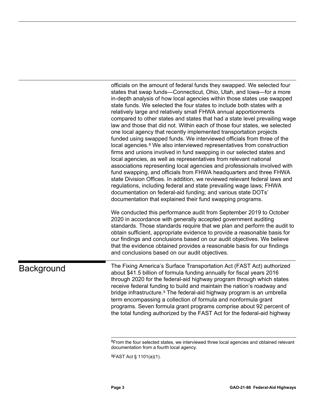officials on the amount of federal funds they swapped. We selected four states that swap funds—Connecticut, Ohio, Utah, and Iowa—for a more in-depth analysis of how local agencies within those states use swapped state funds. We selected the four states to include both states with a relatively large and relatively small FHWA annual apportionments compared to other states and states that had a state level prevailing wage law and those that did not. Within each of those four states, we selected one local agency that recently implemented transportation projects funded using swapped funds. We interviewed officials from three of the local agencies.<sup>[8](#page-6-1)</sup> We also interviewed representatives from construction firms and unions involved in fund swapping in our selected states and local agencies, as well as representatives from relevant national associations representing local agencies and professionals involved with fund swapping, and officials from FHWA headquarters and three FHWA state Division Offices. In addition, we reviewed relevant federal laws and regulations, including federal and state prevailing wage laws; FHWA documentation on federal-aid funding; and various state DOTs' documentation that explained their fund swapping programs.

We conducted this performance audit from September 2019 to October 2020 in accordance with generally accepted government auditing standards. Those standards require that we plan and perform the audit to obtain sufficient, appropriate evidence to provide a reasonable basis for our findings and conclusions based on our audit objectives. We believe that the evidence obtained provides a reasonable basis for our findings and conclusions based on our audit objectives.

## <span id="page-6-2"></span><span id="page-6-1"></span><span id="page-6-0"></span>**Background**

The Fixing America's Surface Transportation Act (FAST Act) authorized about \$41.5 billion of formula funding annually for fiscal years 2016 through 2020 for the federal-aid highway program through which states receive federal funding to build and maintain the nation's roadway and bridge infrastructure.[9](#page-6-2) The federal-aid highway program is an umbrella term encompassing a collection of formula and nonformula grant programs. Seven formula grant programs comprise about 92 percent of the total funding authorized by the FAST Act for the federal-aid highway

9FAST Act § 1101(a)(1).

 $8$ From the four selected states, we interviewed three local agencies and obtained relevant documentation from a fourth local agency.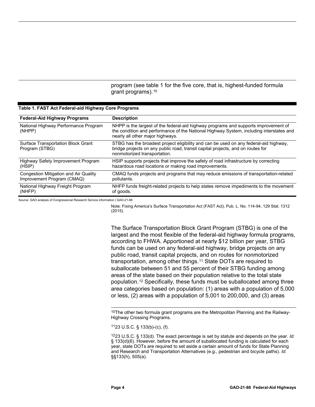program (see table 1 for the five core, that is, highest-funded formula grant programs).[10](#page-7-1)

| <b>Federal-Aid Highway Programs</b>                                 | <b>Description</b>                                                                                                                                                                                                 |
|---------------------------------------------------------------------|--------------------------------------------------------------------------------------------------------------------------------------------------------------------------------------------------------------------|
| National Highway Performance Program<br>(NHPP)                      | NHPP is the largest of the federal-aid highway programs and supports improvement of<br>the condition and performance of the National Highway System, including interstates and<br>nearly all other major highways. |
| <b>Surface Transportation Block Grant</b><br>Program (STBG)         | STBG has the broadest project eligibility and can be used on any federal-aid highway,<br>bridge projects on any public road, transit capital projects, and on routes for<br>nonmotorized transportation.           |
| Highway Safety Improvement Program<br>(HSIP)                        | HSIP supports projects that improve the safety of road infrastructure by correcting<br>hazardous road locations or making road improvements.                                                                       |
| Congestion Mitigation and Air Quality<br>Improvement Program (CMAQ) | CMAQ funds projects and programs that may reduce emissions of transportation-related<br>pollutants.                                                                                                                |
| National Highway Freight Program<br>(NHFP)                          | NHFP funds freight-related projects to help states remove impediments to the movement<br>of goods.                                                                                                                 |

#### <span id="page-7-0"></span>**Table 1. FAST Act Federal-aid Highway Core Programs**

Source: GAO analysis of Congressional Research Service information | GAO-21-88

Note: Fixing America's Surface Transportation Act (FAST Act), Pub. L. No. 114-94, 129 Stat. 1312 (2015).

The Surface Transportation Block Grant Program (STBG) is one of the largest and the most flexible of the federal-aid highway formula programs, according to FHWA. Apportioned at nearly \$12 billion per year, STBG funds can be used on any federal-aid highway, bridge projects on any public road, transit capital projects, and on routes for nonmotorized transportation, among other things.[11](#page-7-2) State DOTs are required to suballocate between 51 and 55 percent of their STBG funding among areas of the state based on their population relative to the total state population.[12](#page-7-3) Specifically, these funds must be suballocated among three area categories based on population: (1) areas with a population of 5,000 or less, (2) areas with a population of 5,001 to 200,000, and (3) areas

<span id="page-7-1"></span><sup>10</sup>The other two formula grant programs are the Metropolitan Planning and the Railway-Highway Crossing Programs.

1123 U.S.C. § 133(b)-(c), (f).

<span id="page-7-3"></span><span id="page-7-2"></span>1223 U.S.C. § 133(d). The exact percentage is set by statute and depends on the year. *Id.*  § 133(d)(6). However, before the amount of suballocated funding is calculated for each year, state DOTs are required to set aside a certain amount of funds for State Planning and Research and Transportation Alternatives (e.g., pedestrian and bicycle paths). *Id.* §§133(h), 505(a).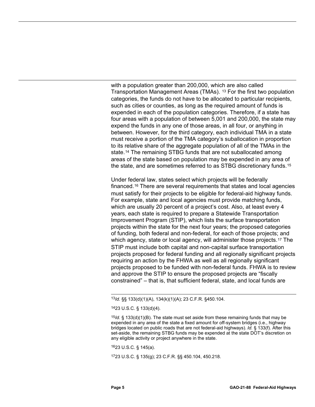with a population greater than 200,000, which are also called Transportation Management Areas (TMAs). [13](#page-8-0) For the first two population categories, the funds do not have to be allocated to particular recipients, such as cities or counties, as long as the required amount of funds is expended in each of the population categories. Therefore, if a state has four areas with a population of between 5,001 and 200,000, the state may expend the funds in any one of those areas, in all four, or anything in between. However, for the third category, each individual TMA in a state must receive a portion of the TMA category's suballocation in proportion to its relative share of the aggregate population of all of the TMAs in the state.[14](#page-8-1) The remaining STBG funds that are not suballocated among areas of the state based on population may be expended in any area of the state, and are sometimes referred to as STBG discretionary funds.[15](#page-8-2)

Under federal law, states select which projects will be federally financed.[16](#page-8-3) There are several requirements that states and local agencies must satisfy for their projects to be eligible for federal-aid highway funds. For example, state and local agencies must provide matching funds, which are usually 20 percent of a project's cost. Also, at least every 4 years, each state is required to prepare a Statewide Transportation Improvement Program (STIP), which lists the surface transportation projects within the state for the next four years; the proposed categories of funding, both federal and non-federal, for each of those projects; and which agency, state or local agency, will administer those projects.<sup>[17](#page-8-4)</sup> The STIP must include both capital and non-capital surface transportation projects proposed for federal funding and all regionally significant projects requiring an action by the FHWA as well as all regionally significant projects proposed to be funded with non-federal funds. FHWA is to review and approve the STIP to ensure the proposed projects are "fiscally constrained" – that is, that sufficient federal, state, and local funds are

<span id="page-8-4"></span>1723 U.S.C. § 135(g); 23 C.F.R. §§ 450.104, 450.218.

<span id="page-8-0"></span> <sup>13</sup>*Id.* §§ 133(d)(1)(A), 134(k)(1)(A); 23 C.F.R. §450.104.

<sup>1423</sup> U.S.C. § 133(d)(4).

<span id="page-8-2"></span><span id="page-8-1"></span><sup>15</sup>*Id.* § 133(d)(1)(B). The state must set aside from these remaining funds that may be expended in any area of the state a fixed amount for off-system bridges (i.e., highway bridges located on public roads that are not federal-aid highways). *Id.* § 133(f). After this set-aside, the remaining STBG funds may be expended at the state DOT's discretion on any eligible activity or project anywhere in the state.

<span id="page-8-3"></span><sup>1623</sup> U.S.C. § 145(a).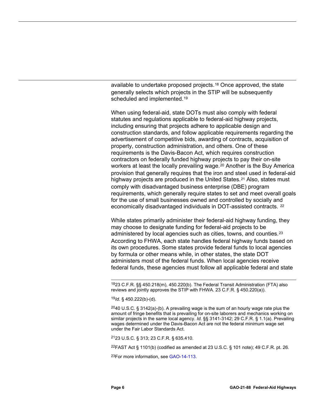available to undertake proposed projects.[18](#page-9-0) Once approved, the state generally selects which projects in the STIP will be subsequently scheduled and implemented.<sup>[19](#page-9-1)</sup>

When using federal-aid, state DOTs must also comply with federal statutes and regulations applicable to federal-aid highway projects, including ensuring that projects adhere to applicable design and construction standards, and follow applicable requirements regarding the advertisement of competitive bids, awarding of contracts, acquisition of property, construction administration, and others. One of these requirements is the Davis-Bacon Act, which requires construction contractors on federally funded highway projects to pay their on-site workers at least the locally prevailing wage.<sup>[20](#page-9-2)</sup> Another is the Buy America provision that generally requires that the iron and steel used in federal-aid highway projects are produced in the United States.[21](#page-9-3) Also, states must comply with disadvantaged business enterprise (DBE) program requirements, which generally require states to set and meet overall goals for the use of small businesses owned and controlled by socially and economically disadvantaged individuals in DOT-assisted contracts. [22](#page-9-4)

While states primarily administer their federal-aid highway funding, they may choose to designate funding for federal-aid projects to be administered by local agencies such as cities, towns, and counties.[23](#page-9-5) According to FHWA, each state handles federal highway funds based on its own procedures. Some states provide federal funds to local agencies by formula or other means while, in other states, the state DOT administers most of the federal funds. When local agencies receive federal funds, these agencies must follow all applicable federal and state

<span id="page-9-4"></span><span id="page-9-3"></span>2123 U.S.C. § 313; 23 C.F.R. § 635.410.

22FAST Act § 1101(b) (codified as amended at 23 U.S.C. § 101 note); 49 C.F.R. pt. 26.

<span id="page-9-5"></span>23For more information, see [GAO-14-113.](https://www.gao.gov/products/GAO-14-113)

<span id="page-9-0"></span> <sup>1823</sup> C.F.R. §§ 450.218(m), 450.220(b). The Federal Transit Administration (FTA) also reviews and jointly approves the STIP with FHWA. 23 C.F.R. § 450.220(a)).

<sup>19</sup>*Id.* § 450.222(b)-(d).

<span id="page-9-2"></span><span id="page-9-1"></span> $2040$  U.S.C. § 3142(a)-(b). A prevailing wage is the sum of an hourly wage rate plus the amount of fringe benefits that is prevailing for on-site laborers and mechanics working on similar projects in the same local agency. *Id.* §§ 3141-3142; 29 C.F.R. § 1.1(a). Prevailing wages determined under the Davis-Bacon Act are not the federal minimum wage set under the Fair Labor Standards Act.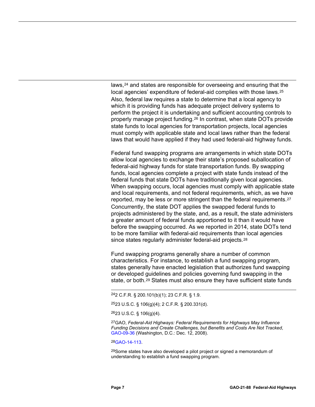laws,<sup>[24](#page-10-0)</sup> and states are responsible for overseeing and ensuring that the local agencies' expenditure of federal-aid complies with those laws.<sup>[25](#page-10-1)</sup> Also, federal law requires a state to determine that a local agency to which it is providing funds has adequate project delivery systems to perform the project it is undertaking and sufficient accounting controls to properly manage project funding.[26](#page-10-2) In contrast, when state DOTs provide state funds to local agencies for transportation projects, local agencies must comply with applicable state and local laws rather than the federal laws that would have applied if they had used federal-aid highway funds.

Federal fund swapping programs are arrangements in which state DOTs allow local agencies to exchange their state's proposed suballocation of federal-aid highway funds for state transportation funds. By swapping funds, local agencies complete a project with state funds instead of the federal funds that state DOTs have traditionally given local agencies. When swapping occurs, local agencies must comply with applicable state and local requirements, and not federal requirements, which, as we have reported, may be less or more stringent than the federal requirements.[27](#page-10-3) Concurrently, the state DOT applies the swapped federal funds to projects administered by the state, and, as a result, the state administers a greater amount of federal funds apportioned to it than it would have before the swapping occurred. As we reported in 2014, state DOTs tend to be more familiar with federal-aid requirements than local agencies since states regularly administer federal-aid projects.<sup>[28](#page-10-4)</sup>

Fund swapping programs generally share a number of common characteristics. For instance, to establish a fund swapping program, states generally have enacted legislation that authorizes fund swapping or developed guidelines and policies governing fund swapping in the state, or both.[29](#page-10-5) States must also ensure they have sufficient state funds

2523 U.S.C. § 106(g)(4); 2 C.F.R. § 200.331(d).

<span id="page-10-2"></span>2623 U.S.C. § 106(g)(4).

<span id="page-10-3"></span>27GAO, *Federal-Aid Highways: Federal Requirements for Highways May Influence Funding Decisions and Create Challenges, but Benefits and Costs Are Not Tracked*, [GAO-09-36 \(](https://www.gao.gov/products/GAO-09-36)Washington, D.C.: Dec. 12, 2008).

<span id="page-10-4"></span>2[8GAO-14-113.](https://www.gao.gov/products/GAO-14-113)

<span id="page-10-5"></span> $29$ Some states have also developed a pilot project or signed a memorandum of understanding to establish a fund swapping program.

<span id="page-10-1"></span><span id="page-10-0"></span> <sup>242</sup> C.F.R. § 200.101(b)(1); 23 C.F.R. § 1.9.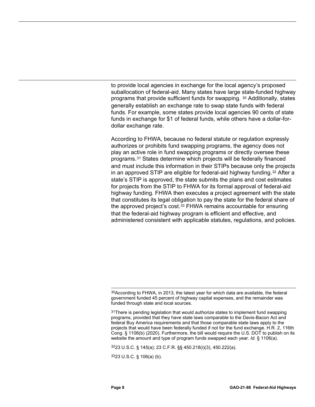to provide local agencies in exchange for the local agency's proposed suballocation of federal-aid. Many states have large state-funded highway programs that provide sufficient funds for swapping. [30](#page-11-0) Additionally, states generally establish an exchange rate to swap state funds with federal funds. For example, some states provide local agencies 90 cents of state funds in exchange for \$1 of federal funds, while others have a dollar-fordollar exchange rate.

According to FHWA, because no federal statute or regulation expressly authorizes or prohibits fund swapping programs, the agency does not play an active role in fund swapping programs or directly oversee these programs.[31](#page-11-1) States determine which projects will be federally financed and must include this information in their STIPs because only the projects in an approved STIP are eligible for federal-aid highway funding.[32](#page-11-2) After a state's STIP is approved, the state submits the plans and cost estimates for projects from the STIP to FHWA for its formal approval of federal-aid highway funding. FHWA then executes a project agreement with the state that constitutes its legal obligation to pay the state for the federal share of the approved project's cost.[33](#page-11-3) FHWA remains accountable for ensuring that the federal-aid highway program is efficient and effective, and administered consistent with applicable statutes, regulations, and policies.

<span id="page-11-2"></span>3223 U.S.C. § 145(a); 23 C.F.R. §§ 450.218(i)(3), 450.222(a).

<span id="page-11-3"></span>3323 U.S.C. § 106(a) (b).

<span id="page-11-0"></span> $30$ According to FHWA, in 2013, the latest year for which data are available, the federal government funded 45 percent of highway capital expenses, and the remainder was funded through state and local sources.

<span id="page-11-1"></span><sup>31</sup>There is pending legislation that would authorize states to implement fund swapping programs, provided that they have state laws comparable to the Davis-Bacon Act and federal Buy America requirements and that those comparable state laws apply to the projects that would have been federally funded if not for the fund exchange. H.R. 2, 116th Cong. § 1106(b) (2020). Furthermore, the bill would require the U.S. DOT to publish on its website the amount and type of program funds swapped each year. *Id.* § 1106(a).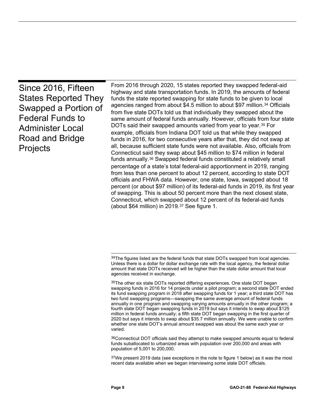<span id="page-12-0"></span>

| Since 2016, Fifteen<br><b>States Reported They</b><br>Swapped a Portion of<br><b>Federal Funds to</b><br><b>Administer Local</b><br>Road and Bridge<br><b>Projects</b> | From 2016 through 2020, 15 states reported they swapped federal-aid<br>highway and state transportation funds. In 2019, the amounts of federal<br>funds the state reported swapping for state funds to be given to local<br>agencies ranged from about \$4.5 million to about \$97 million. <sup>34</sup> Officials<br>from five state DOTs told us that individually they swapped about the<br>same amount of federal funds annually. However, officials from four state<br>DOTs said their swapped amounts varied from year to year. <sup>35</sup> For<br>example, officials from Indiana DOT told us that while they swapped<br>funds in 2016, for two consecutive years after that, they did not swap at<br>all, because sufficient state funds were not available. Also, officials from<br>Connecticut said they swap about \$45 million to \$74 million in federal<br>funds annually. <sup>36</sup> Swapped federal funds constituted a relatively small<br>percentage of a state's total federal-aid apportionment in 2019, ranging<br>from less than one percent to about 12 percent, according to state DOT<br>officials and FHWA data. However, one state, lowa, swapped about 18<br>percent (or about \$97 million) of its federal-aid funds in 2019, its first year<br>of swapping. This is about 50 percent more than the next closest state,<br>Connecticut, which swapped about 12 percent of its federal-aid funds<br>(about \$64 million) in 2019. $37$ See figure 1. |
|------------------------------------------------------------------------------------------------------------------------------------------------------------------------|----------------------------------------------------------------------------------------------------------------------------------------------------------------------------------------------------------------------------------------------------------------------------------------------------------------------------------------------------------------------------------------------------------------------------------------------------------------------------------------------------------------------------------------------------------------------------------------------------------------------------------------------------------------------------------------------------------------------------------------------------------------------------------------------------------------------------------------------------------------------------------------------------------------------------------------------------------------------------------------------------------------------------------------------------------------------------------------------------------------------------------------------------------------------------------------------------------------------------------------------------------------------------------------------------------------------------------------------------------------------------------------------------------------------------------------------------------------------------------------|
|------------------------------------------------------------------------------------------------------------------------------------------------------------------------|----------------------------------------------------------------------------------------------------------------------------------------------------------------------------------------------------------------------------------------------------------------------------------------------------------------------------------------------------------------------------------------------------------------------------------------------------------------------------------------------------------------------------------------------------------------------------------------------------------------------------------------------------------------------------------------------------------------------------------------------------------------------------------------------------------------------------------------------------------------------------------------------------------------------------------------------------------------------------------------------------------------------------------------------------------------------------------------------------------------------------------------------------------------------------------------------------------------------------------------------------------------------------------------------------------------------------------------------------------------------------------------------------------------------------------------------------------------------------------------|

<span id="page-12-3"></span>36Connecticut DOT officials said they attempt to make swapped amounts equal to federal funds suballocated to urbanized areas with population over 200,000 and areas with population of 5,001 to 200,000.

<span id="page-12-4"></span> $37$ We present 2019 data (see exceptions in the note to figure 1 below) as it was the most recent data available when we began interviewing some state DOT officials.

<span id="page-12-1"></span> <sup>34</sup>The figures listed are the federal funds that state DOTs swapped from local agencies. Unless there is a dollar for dollar exchange rate with the local agency, the federal dollar amount that state DOTs received will be higher than the state dollar amount that local agencies received in exchange.

<span id="page-12-2"></span><sup>35</sup>The other six state DOTs reported differing experiences. One state DOT began swapping funds in 2016 for 14 projects under a pilot program; a second state DOT ended its fund swapping program in 2018 after swapping funds for 1 year; a third state DOT has two fund swapping programs—swapping the same average amount of federal funds annually in one program and swapping varying amounts annually in the other program; a fourth state DOT began swapping funds in 2019 but says it intends to swap about \$125 million in federal funds annually; a fifth state DOT began swapping in the first quarter of 2020 but says it intends to swap about \$35.7 million annually. We were unable to confirm whether one state DOT's annual amount swapped was about the same each year or varied.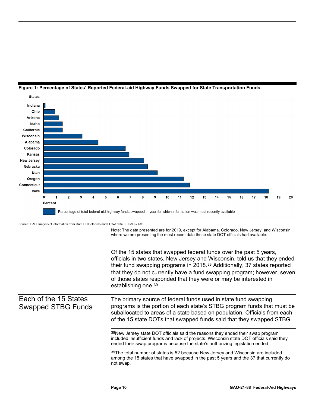

#### <span id="page-13-0"></span>**Figure 1: Percentage of States' Reported Federal-aid Highway Funds Swapped for State Transportation Funds**

Source: GAO analysis of information from state DOT officials and FHWA data. | GAO-21-88

Note: The data presented are for 2019, except for Alabama, Colorado, New Jersey, and Wisconsin where we are presenting the most recent data these state DOT officials had available.

Of the 15 states that swapped federal funds over the past 5 years, officials in two states, New Jersey and Wisconsin, told us that they ended their fund swapping programs in 2018.[38](#page-13-1) Additionally, 37 states reported that they do not currently have a fund swapping program; however, seven of those states responded that they were or may be interested in establishing one.<sup>[39](#page-13-2)</sup>

#### <span id="page-13-2"></span><span id="page-13-1"></span>Each of the 15 States Swapped STBG Funds

The primary source of federal funds used in state fund swapping programs is the portion of each state's STBG program funds that must be suballocated to areas of a state based on population. Officials from each of the 15 state DOTs that swapped funds said that they swapped STBG

38New Jersey state DOT officials said the reasons they ended their swap program included insufficient funds and lack of projects. Wisconsin state DOT officials said they ended their swap programs because the state's authorizing legislation ended.

 $39$ The total number of states is 52 because New Jersey and Wisconsin are included among the 15 states that have swapped in the past 5 years and the 37 that currently do not swap.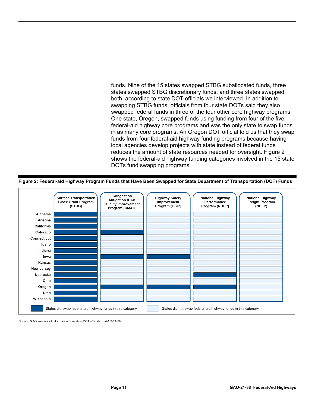funds. Nine of the 15 states swapped STBG suballocated funds, three states swapped STBG discretionary funds, and three states swapped both, according to state DOT officials we interviewed. In addition to swapping STBG funds, officials from four state DOTs said they also swapped federal funds in three of the four other core highway programs. One state, Oregon, swapped funds using funding from four of the five federal-aid highway core programs and was the only state to swap funds in as many core programs. An Oregon DOT official told us that they swap funds from four federal-aid highway funding programs because having local agencies develop projects with state instead of federal funds reduces the amount of state resources needed for oversight. Figure 2 shows the federal-aid highway funding categories involved in the 15 state DOTs fund swapping programs.

<span id="page-14-0"></span>**Figure 2: Federal-aid Highway Program Funds that Have Been Swapped for State Department of Transportation (DOT) Funds**



Source: GAO analysis of information from state DOT officials. | GAO-21-88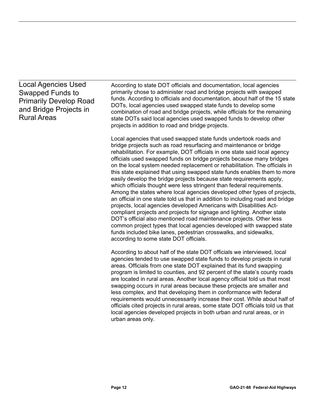### Local Agencies Used Swapped Funds to Primarily Develop Road and Bridge Projects in Rural Areas

According to state DOT officials and documentation, local agencies primarily chose to administer road and bridge projects with swapped funds. According to officials and documentation, about half of the 15 state DOTs, local agencies used swapped state funds to develop some combination of road and bridge projects, while officials for the remaining state DOTs said local agencies used swapped funds to develop other projects in addition to road and bridge projects.

Local agencies that used swapped state funds undertook roads and bridge projects such as road resurfacing and maintenance or bridge rehabilitation. For example, DOT officials in one state said local agency officials used swapped funds on bridge projects because many bridges on the local system needed replacement or rehabilitation. The officials in this state explained that using swapped state funds enables them to more easily develop the bridge projects because state requirements apply, which officials thought were less stringent than federal requirements. Among the states where local agencies developed other types of projects, an official in one state told us that in addition to including road and bridge projects, local agencies developed Americans with Disabilities Actcompliant projects and projects for signage and lighting. Another state DOT's official also mentioned road maintenance projects. Other less common project types that local agencies developed with swapped state funds included bike lanes, pedestrian crosswalks, and sidewalks, according to some state DOT officials.

According to about half of the state DOT officials we interviewed, local agencies tended to use swapped state funds to develop projects in rural areas. Officials from one state DOT explained that its fund swapping program is limited to counties, and 92 percent of the state's county roads are located in rural areas. Another local agency official told us that most swapping occurs in rural areas because these projects are smaller and less complex, and that developing them in conformance with federal requirements would unnecessarily increase their cost. While about half of officials cited projects in rural areas, some state DOT officials told us that local agencies developed projects in both urban and rural areas, or in urban areas only.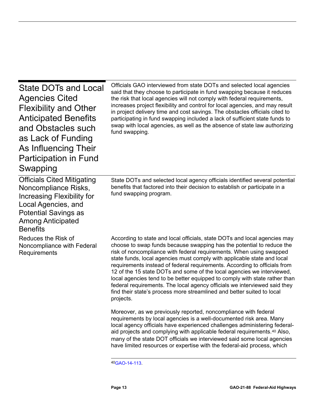<span id="page-16-0"></span>

| <b>State DOTs and Local</b><br><b>Agencies Cited</b><br><b>Flexibility and Other</b><br><b>Anticipated Benefits</b><br>and Obstacles such<br>as Lack of Funding<br>As Influencing Their<br><b>Participation in Fund</b><br>Swapping | Officials GAO interviewed from state DOTs and selected local agencies<br>said that they choose to participate in fund swapping because it reduces<br>the risk that local agencies will not comply with federal requirements,<br>increases project flexibility and control for local agencies, and may result<br>in project delivery time and cost savings. The obstacles officials cited to<br>participating in fund swapping included a lack of sufficient state funds to<br>swap with local agencies, as well as the absence of state law authorizing<br>fund swapping.                                                                                                                                     |
|-------------------------------------------------------------------------------------------------------------------------------------------------------------------------------------------------------------------------------------|---------------------------------------------------------------------------------------------------------------------------------------------------------------------------------------------------------------------------------------------------------------------------------------------------------------------------------------------------------------------------------------------------------------------------------------------------------------------------------------------------------------------------------------------------------------------------------------------------------------------------------------------------------------------------------------------------------------|
| <b>Officials Cited Mitigating</b><br>Noncompliance Risks,<br><b>Increasing Flexibility for</b><br>Local Agencies, and<br><b>Potential Savings as</b><br><b>Among Anticipated</b><br><b>Benefits</b>                                 | State DOTs and selected local agency officials identified several potential<br>benefits that factored into their decision to establish or participate in a<br>fund swapping program.                                                                                                                                                                                                                                                                                                                                                                                                                                                                                                                          |
| Reduces the Risk of<br>Noncompliance with Federal<br>Requirements                                                                                                                                                                   | According to state and local officials, state DOTs and local agencies may<br>choose to swap funds because swapping has the potential to reduce the<br>risk of noncompliance with federal requirements. When using swapped<br>state funds, local agencies must comply with applicable state and local<br>requirements instead of federal requirements. According to officials from<br>12 of the 15 state DOTs and some of the local agencies we interviewed,<br>local agencies tend to be better equipped to comply with state rather than<br>federal requirements. The local agency officials we interviewed said they<br>find their state's process more streamlined and better suited to local<br>projects. |
|                                                                                                                                                                                                                                     | Moreover, as we previously reported, noncompliance with federal<br>requirements by local agencies is a well-documented risk area. Many<br>local agency officials have experienced challenges administering federal-<br>aid projects and complying with applicable federal requirements. <sup>40</sup> Also,<br>many of the state DOT officials we interviewed said some local agencies<br>have limited resources or expertise with the federal-aid process, which                                                                                                                                                                                                                                             |

<span id="page-16-1"></span>4[0GAO-14-113.](https://www.gao.gov/products/GAO-14-113)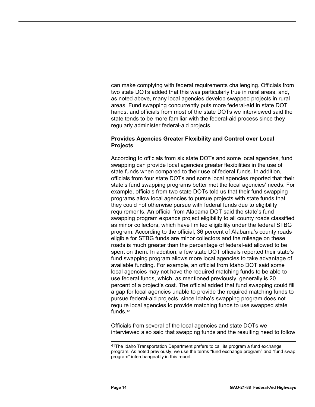can make complying with federal requirements challenging. Officials from two state DOTs added that this was particularly true in rural areas, and, as noted above, many local agencies develop swapped projects in rural areas. Fund swapping concurrently puts more federal-aid in state DOT hands, and officials from most of the state DOTs we interviewed said the state tends to be more familiar with the federal-aid process since they regularly administer federal-aid projects.

#### **Provides Agencies Greater Flexibility and Control over Local Projects**

According to officials from six state DOTs and some local agencies, fund swapping can provide local agencies greater flexibilities in the use of state funds when compared to their use of federal funds. In addition, officials from four state DOTs and some local agencies reported that their state's fund swapping programs better met the local agencies' needs. For example, officials from two state DOTs told us that their fund swapping programs allow local agencies to pursue projects with state funds that they could not otherwise pursue with federal funds due to eligibility requirements. An official from Alabama DOT said the state's fund swapping program expands project eligibility to all county roads classified as minor collectors, which have limited eligibility under the federal STBG program. According to the official, 36 percent of Alabama's county roads eligible for STBG funds are minor collectors and the mileage on these roads is much greater than the percentage of federal-aid allowed to be spent on them. In addition, a few state DOT officials reported their state's fund swapping program allows more local agencies to take advantage of available funding. For example, an official from Idaho DOT said some local agencies may not have the required matching funds to be able to use federal funds, which, as mentioned previously, generally is 20 percent of a project's cost. The official added that fund swapping could fill a gap for local agencies unable to provide the required matching funds to pursue federal-aid projects, since Idaho's swapping program does not require local agencies to provide matching funds to use swapped state funds.[41](#page-17-0)

Officials from several of the local agencies and state DOTs we interviewed also said that swapping funds and the resulting need to follow

<span id="page-17-0"></span> <sup>41</sup>The Idaho Transportation Department prefers to call its program a fund exchange program. As noted previously, we use the terms "fund exchange program" and "fund swap program" interchangeably in this report.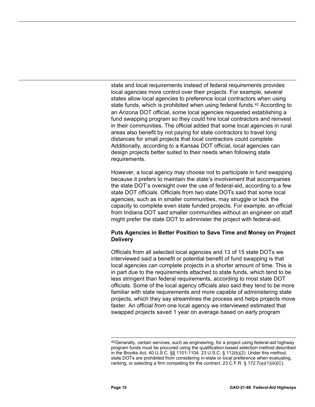state and local requirements instead of federal requirements provides local agencies more control over their projects. For example, several states allow local agencies to preference local contractors when using state funds, which is prohibited when using federal funds.<sup>[42](#page-18-0)</sup> According to an Arizona DOT official, some local agencies requested establishing a fund swapping program so they could hire local contractors and reinvest in their communities. The official added that some local agencies in rural areas also benefit by not paying for state contractors to travel long distances for small projects that local contractors could complete. Additionally, according to a Kansas DOT official, local agencies can design projects better suited to their needs when following state requirements.

However, a local agency may choose not to participate in fund swapping because it prefers to maintain the state's involvement that accompanies the state DOT's oversight over the use of federal-aid, according to a few state DOT officials. Officials from two state DOTs said that some local agencies, such as in smaller communities, may struggle or lack the capacity to complete even state funded projects. For example, an official from Indiana DOT said smaller communities without an engineer on staff might prefer the state DOT to administer the project with federal-aid.

#### **Puts Agencies in Better Position to Save Time and Money on Project Delivery**

Officials from all selected local agencies and 13 of 15 state DOTs we interviewed said a benefit or potential benefit of fund swapping is that local agencies can complete projects in a shorter amount of time. This is in part due to the requirements attached to state funds, which tend to be less stringent than federal requirements, according to most state DOT officials. Some of the local agency officials also said they tend to be more familiar with state requirements and more capable of administering state projects, which they say streamlines the process and helps projects move faster. An official from one local agency we interviewed estimated that swapped projects saved 1 year on average based on early program

<span id="page-18-0"></span><sup>42</sup>Generally, certain services, such as engineering, for a project using federal-aid highway program funds must be procured using the qualification-based selection method described in the Brooks Act, 40 U.S.C. §§ 1101-1104. 23 U.S.C. § 112(b)(2). Under this method, state DOTs are prohibited from considering in-state or local preference when evaluating, ranking, or selecting a firm competing for the contract. 23 C.F.R.  $\S$  172.7(a)(1)(iii)(C).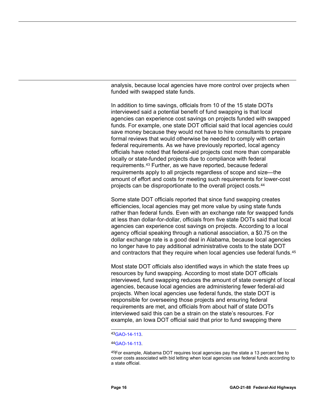analysis, because local agencies have more control over projects when funded with swapped state funds.

In addition to time savings, officials from 10 of the 15 state DOTs interviewed said a potential benefit of fund swapping is that local agencies can experience cost savings on projects funded with swapped funds. For example, one state DOT official said that local agencies could save money because they would not have to hire consultants to prepare formal reviews that would otherwise be needed to comply with certain federal requirements. As we have previously reported, local agency officials have noted that federal-aid projects cost more than comparable locally or state-funded projects due to compliance with federal requirements.[43](#page-19-0) Further, as we have reported, because federal requirements apply to all projects regardless of scope and size—the amount of effort and costs for meeting such requirements for lower-cost projects can be disproportionate to the overall project costs.[44](#page-19-1)

Some state DOT officials reported that since fund swapping creates efficiencies, local agencies may get more value by using state funds rather than federal funds. Even with an exchange rate for swapped funds at less than dollar-for-dollar, officials from five state DOTs said that local agencies can experience cost savings on projects. According to a local agency official speaking through a national association, a \$0.75 on the dollar exchange rate is a good deal in Alabama, because local agencies no longer have to pay additional administrative costs to the state DOT and contractors that they require when local agencies use federal funds.<sup>[45](#page-19-2)</sup>

Most state DOT officials also identified ways in which the state frees up resources by fund swapping. According to most state DOT officials interviewed, fund swapping reduces the amount of state oversight of local agencies, because local agencies are administering fewer federal-aid projects. When local agencies use federal funds, the state DOT is responsible for overseeing those projects and ensuring federal requirements are met, and officials from about half of state DOTs interviewed said this can be a strain on the state's resources. For example, an Iowa DOT official said that prior to fund swapping there

45For example, Alabama DOT requires local agencies pay the state a 13 percent fee to cover costs associated with bid letting when local agencies use federal funds according to a state official.

 <sup>4</sup>[3GAO-14-113.](https://www.gao.gov/products/GAO-14-113)

<span id="page-19-2"></span><span id="page-19-1"></span><span id="page-19-0"></span><sup>4</sup>[4GAO-14-113.](https://www.gao.gov/products/GAO-14-113)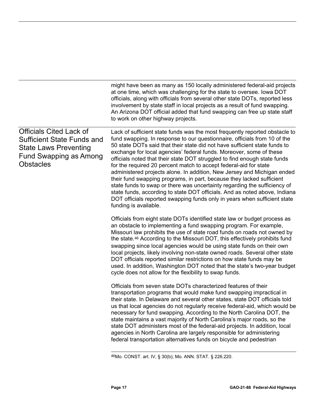|                                                                                                                                                          | might have been as many as 150 locally administered federal-aid projects<br>at one time, which was challenging for the state to oversee. Iowa DOT<br>officials, along with officials from several other state DOTs, reported less<br>involvement by state staff in local projects as a result of fund swapping.<br>An Arizona DOT official added that fund swapping can free up state staff<br>to work on other highway projects.                                                                                                                                                                                                                                                                                                                                                                                                                                                    |
|----------------------------------------------------------------------------------------------------------------------------------------------------------|--------------------------------------------------------------------------------------------------------------------------------------------------------------------------------------------------------------------------------------------------------------------------------------------------------------------------------------------------------------------------------------------------------------------------------------------------------------------------------------------------------------------------------------------------------------------------------------------------------------------------------------------------------------------------------------------------------------------------------------------------------------------------------------------------------------------------------------------------------------------------------------|
| <b>Officials Cited Lack of</b><br><b>Sufficient State Funds and</b><br><b>State Laws Preventing</b><br><b>Fund Swapping as Among</b><br><b>Obstacles</b> | Lack of sufficient state funds was the most frequently reported obstacle to<br>fund swapping. In response to our questionnaire, officials from 10 of the<br>50 state DOTs said that their state did not have sufficient state funds to<br>exchange for local agencies' federal funds. Moreover, some of these<br>officials noted that their state DOT struggled to find enough state funds<br>for the required 20 percent match to accept federal-aid for state<br>administered projects alone. In addition, New Jersey and Michigan ended<br>their fund swapping programs, in part, because they lacked sufficient<br>state funds to swap or there was uncertainty regarding the sufficiency of<br>state funds, according to state DOT officials. And as noted above, Indiana<br>DOT officials reported swapping funds only in years when sufficient state<br>funding is available. |
|                                                                                                                                                          | Officials from eight state DOTs identified state law or budget process as<br>an obstacle to implementing a fund swapping program. For example,<br>Missouri law prohibits the use of state road funds on roads not owned by<br>the state. <sup>46</sup> According to the Missouri DOT, this effectively prohibits fund<br>swapping since local agencies would be using state funds on their own<br>local projects, likely involving non-state owned roads. Several other state<br>DOT officials reported similar restrictions on how state funds may be<br>used. In addition, Washington DOT noted that the state's two-year budget<br>cycle does not allow for the flexibility to swap funds.                                                                                                                                                                                        |
|                                                                                                                                                          | Officials from seven state DOTs characterized features of their<br>transportation programs that would make fund swapping impractical in<br>their state. In Delaware and several other states, state DOT officials told<br>us that local agencies do not regularly receive federal-aid, which would be<br>necessary for fund swapping. According to the North Carolina DOT, the<br>state maintains a vast majority of North Carolina's major roads, so the<br>state DOT administers most of the federal-aid projects. In addition, local<br>agencies in North Carolina are largely responsible for administering<br>federal transportation alternatives funds on bicycle and pedestrian                                                                                                                                                                                               |

<span id="page-20-0"></span> <sup>46</sup>Mo. CONST. art. IV, § 30(b); Mo. ANN. STAT. § 226.220.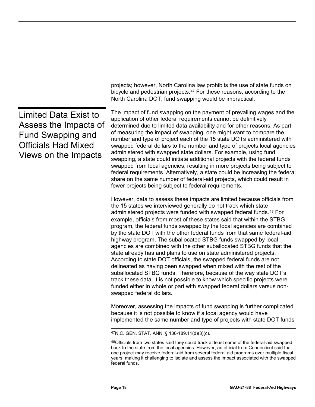<span id="page-21-0"></span>

|                                                                                                                                  | projects; however, North Carolina law prohibits the use of state funds on<br>bicycle and pedestrian projects. <sup>47</sup> For these reasons, according to the<br>North Carolina DOT, fund swapping would be impractical.                                                                                                                                                                                                                                                                                                                                                                                                                                                                                                                                                                                                                                                                                                                                                                                                                                                          |
|----------------------------------------------------------------------------------------------------------------------------------|-------------------------------------------------------------------------------------------------------------------------------------------------------------------------------------------------------------------------------------------------------------------------------------------------------------------------------------------------------------------------------------------------------------------------------------------------------------------------------------------------------------------------------------------------------------------------------------------------------------------------------------------------------------------------------------------------------------------------------------------------------------------------------------------------------------------------------------------------------------------------------------------------------------------------------------------------------------------------------------------------------------------------------------------------------------------------------------|
| Limited Data Exist to<br>Assess the Impacts of<br><b>Fund Swapping and</b><br><b>Officials Had Mixed</b><br>Views on the Impacts | The impact of fund swapping on the payment of prevailing wages and the<br>application of other federal requirements cannot be definitively<br>determined due to limited data availability and for other reasons. As part<br>of measuring the impact of swapping, one might want to compare the<br>number and type of project each of the 15 state DOTs administered with<br>swapped federal dollars to the number and type of projects local agencies<br>administered with swapped state dollars. For example, using fund<br>swapping, a state could initiate additional projects with the federal funds<br>swapped from local agencies, resulting in more projects being subject to<br>federal requirements. Alternatively, a state could be increasing the federal<br>share on the same number of federal-aid projects, which could result in<br>fewer projects being subject to federal requirements.                                                                                                                                                                            |
|                                                                                                                                  | However, data to assess these impacts are limited because officials from<br>the 15 states we interviewed generally do not track which state<br>administered projects were funded with swapped federal funds. <sup>48</sup> For<br>example, officials from most of these states said that within the STBG<br>program, the federal funds swapped by the local agencies are combined<br>by the state DOT with the other federal funds from that same federal-aid<br>highway program. The suballocated STBG funds swapped by local<br>agencies are combined with the other suballocated STBG funds that the<br>state already has and plans to use on state administered projects.<br>According to state DOT officials, the swapped federal funds are not<br>delineated as having been swapped when mixed with the rest of the<br>suballocated STBG funds. Therefore, because of the way state DOT's<br>track these data, it is not possible to know which specific projects were<br>funded either in whole or part with swapped federal dollars versus non-<br>swapped federal dollars. |
|                                                                                                                                  | Moreover, assessing the impacts of fund swapping is further complicated<br>because it is not possible to know if a local agency would have<br>implemented the same number and type of projects with state DOT funds                                                                                                                                                                                                                                                                                                                                                                                                                                                                                                                                                                                                                                                                                                                                                                                                                                                                 |
|                                                                                                                                  | <sup>47</sup> N.C. GEN. STAT. ANN. § 136-189.11(d)(3)(c).                                                                                                                                                                                                                                                                                                                                                                                                                                                                                                                                                                                                                                                                                                                                                                                                                                                                                                                                                                                                                           |
|                                                                                                                                  | 48Officials from two states said they could track at least some of the federal-aid swapped                                                                                                                                                                                                                                                                                                                                                                                                                                                                                                                                                                                                                                                                                                                                                                                                                                                                                                                                                                                          |

<span id="page-21-2"></span><span id="page-21-1"></span>back to the state from the local agencies. However, an official from Connecticut said that one project may receive federal-aid from several federal aid programs over multiple fiscal years, making it challenging to isolate and assess the impact associated with the swapped federal funds.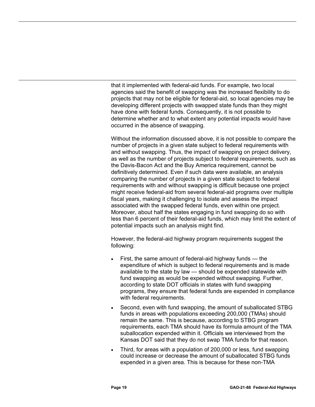that it implemented with federal-aid funds. For example, two local agencies said the benefit of swapping was the increased flexibility to do projects that may not be eligible for federal-aid, so local agencies may be developing different projects with swapped state funds than they might have done with federal funds. Consequently, it is not possible to determine whether and to what extent any potential impacts would have occurred in the absence of swapping.

Without the information discussed above, it is not possible to compare the number of projects in a given state subject to federal requirements with and without swapping. Thus, the impact of swapping on project delivery, as well as the number of projects subject to federal requirements, such as the Davis-Bacon Act and the Buy America requirement, cannot be definitively determined. Even if such data were available, an analysis comparing the number of projects in a given state subject to federal requirements with and without swapping is difficult because one project might receive federal-aid from several federal-aid programs over multiple fiscal years, making it challenging to isolate and assess the impact associated with the swapped federal funds, even within one project. Moreover, about half the states engaging in fund swapping do so with less than 6 percent of their federal-aid funds, which may limit the extent of potential impacts such an analysis might find.

However, the federal-aid highway program requirements suggest the following:

- First, the same amount of federal-aid highway funds the expenditure of which is subject to federal requirements and is made available to the state by law — should be expended statewide with fund swapping as would be expended without swapping. Further, according to state DOT officials in states with fund swapping programs, they ensure that federal funds are expended in compliance with federal requirements.
- Second, even with fund swapping, the amount of suballocated STBG funds in areas with populations exceeding 200,000 (TMAs) should remain the same. This is because, according to STBG program requirements, each TMA should have its formula amount of the TMA suballocation expended within it. Officials we interviewed from the Kansas DOT said that they do not swap TMA funds for that reason.
- Third, for areas with a population of 200,000 or less, fund swapping could increase or decrease the amount of suballocated STBG funds expended in a given area. This is because for these non-TMA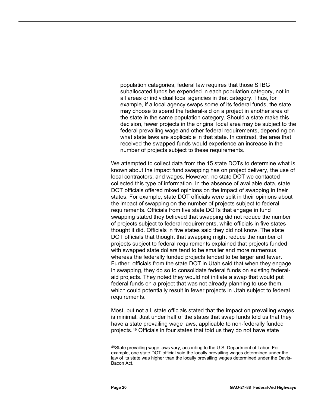population categories, federal law requires that those STBG suballocated funds be expended in each population category, not in all areas or individual local agencies in that category. Thus, for example, if a local agency swaps some of its federal funds, the state may choose to spend the federal-aid on a project in another area of the state in the same population category. Should a state make this decision, fewer projects in the original local area may be subject to the federal prevailing wage and other federal requirements, depending on what state laws are applicable in that state. In contrast, the area that received the swapped funds would experience an increase in the number of projects subject to these requirements.

We attempted to collect data from the 15 state DOTs to determine what is known about the impact fund swapping has on project delivery, the use of local contractors, and wages. However, no state DOT we contacted collected this type of information. In the absence of available data, state DOT officials offered mixed opinions on the impact of swapping in their states. For example, state DOT officials were split in their opinions about the impact of swapping on the number of projects subject to federal requirements. Officials from five state DOTs that engage in fund swapping stated they believed that swapping did not reduce the number of projects subject to federal requirements, while officials in five states thought it did. Officials in five states said they did not know. The state DOT officials that thought that swapping might reduce the number of projects subject to federal requirements explained that projects funded with swapped state dollars tend to be smaller and more numerous, whereas the federally funded projects tended to be larger and fewer. Further, officials from the state DOT in Utah said that when they engage in swapping, they do so to consolidate federal funds on existing federalaid projects. They noted they would not initiate a swap that would put federal funds on a project that was not already planning to use them, which could potentially result in fewer projects in Utah subject to federal requirements.

Most, but not all, state officials stated that the impact on prevailing wages is minimal. Just under half of the states that swap funds told us that they have a state prevailing wage laws, applicable to non-federally funded projects.[49](#page-23-0) Officials in four states that told us they do not have state

<span id="page-23-0"></span> <sup>49</sup>State prevailing wage laws vary, according to the U.S. Department of Labor. For example, one state DOT official said the locally prevailing wages determined under the law of its state was higher than the locally prevailing wages determined under the Davis-Bacon Act.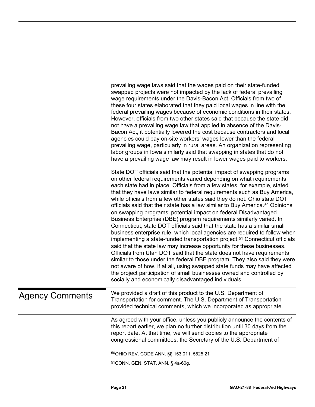<span id="page-24-2"></span><span id="page-24-1"></span><span id="page-24-0"></span>

|                        | prevailing wage laws said that the wages paid on their state-funded<br>swapped projects were not impacted by the lack of federal prevailing<br>wage requirements under the Davis-Bacon Act. Officials from two of<br>these four states elaborated that they paid local wages in line with the<br>federal prevailing wages because of economic conditions in their states.<br>However, officials from two other states said that because the state did<br>not have a prevailing wage law that applied in absence of the Davis-<br>Bacon Act, it potentially lowered the cost because contractors and local<br>agencies could pay on-site workers' wages lower than the federal<br>prevailing wage, particularly in rural areas. An organization representing<br>labor groups in lowa similarly said that swapping in states that do not<br>have a prevailing wage law may result in lower wages paid to workers.                                                                                                                                                                                                                                                                                                                                                                                                             |
|------------------------|-----------------------------------------------------------------------------------------------------------------------------------------------------------------------------------------------------------------------------------------------------------------------------------------------------------------------------------------------------------------------------------------------------------------------------------------------------------------------------------------------------------------------------------------------------------------------------------------------------------------------------------------------------------------------------------------------------------------------------------------------------------------------------------------------------------------------------------------------------------------------------------------------------------------------------------------------------------------------------------------------------------------------------------------------------------------------------------------------------------------------------------------------------------------------------------------------------------------------------------------------------------------------------------------------------------------------------|
|                        | State DOT officials said that the potential impact of swapping programs<br>on other federal requirements varied depending on what requirements<br>each state had in place. Officials from a few states, for example, stated<br>that they have laws similar to federal requirements such as Buy America,<br>while officials from a few other states said they do not. Ohio state DOT<br>officials said that their state has a law similar to Buy America. <sup>50</sup> Opinions<br>on swapping programs' potential impact on federal Disadvantaged<br>Business Enterprise (DBE) program requirements similarly varied. In<br>Connecticut, state DOT officials said that the state has a similar small<br>business enterprise rule, which local agencies are required to follow when<br>implementing a state-funded transportation project. <sup>51</sup> Connecticut officials<br>said that the state law may increase opportunity for these businesses.<br>Officials from Utah DOT said that the state does not have requirements<br>similar to those under the federal DBE program. They also said they were<br>not aware of how, if at all, using swapped state funds may have affected<br>the project participation of small businesses owned and controlled by<br>socially and economically disadvantaged individuals. |
| <b>Agency Comments</b> | We provided a draft of this product to the U.S. Department of<br>Transportation for comment. The U.S. Department of Transportation<br>provided technical comments, which we incorporated as appropriate.                                                                                                                                                                                                                                                                                                                                                                                                                                                                                                                                                                                                                                                                                                                                                                                                                                                                                                                                                                                                                                                                                                                    |
|                        | As agreed with your office, unless you publicly announce the contents of<br>this report earlier, we plan no further distribution until 30 days from the<br>report date. At that time, we will send copies to the appropriate<br>congressional committees, the Secretary of the U.S. Department of                                                                                                                                                                                                                                                                                                                                                                                                                                                                                                                                                                                                                                                                                                                                                                                                                                                                                                                                                                                                                           |
|                        | 50 OHIO REV. CODE ANN. §§ 153.011, 5525.21                                                                                                                                                                                                                                                                                                                                                                                                                                                                                                                                                                                                                                                                                                                                                                                                                                                                                                                                                                                                                                                                                                                                                                                                                                                                                  |
|                        | 51 CONN. GEN. STAT. ANN. § 4a-60g.                                                                                                                                                                                                                                                                                                                                                                                                                                                                                                                                                                                                                                                                                                                                                                                                                                                                                                                                                                                                                                                                                                                                                                                                                                                                                          |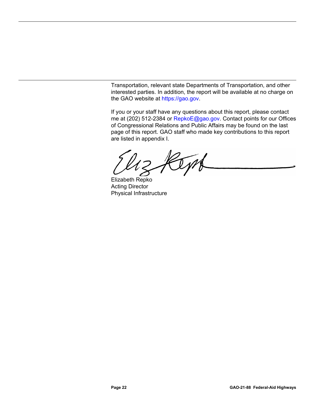Transportation, relevant state Departments of Transportation, and other interested parties. In addition, the report will be available at no charge on the GAO website at [https://gao.gov.](https://gao.gov/)

If you or your staff have any questions about this report, please contact me at (202) 512-2384 or [RepkoE@gao.gov.](mailto:RepkoE@gao.gov) Contact points for our Offices of Congressional Relations and Public Affairs may be found on the last page of this report. GAO staff who made key contributions to this report are listed in appendix I.

Cyn

Elizabeth Repko Acting Director Physical Infrastructure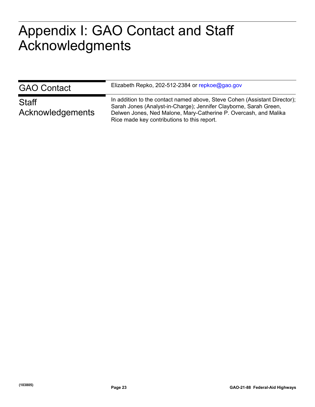## <span id="page-26-0"></span>**Appendix I: GAO Contact and Staff**  Appendix I: GAO Contact and Staff Acknowledgments

| <b>GAO Contact</b>        | Elizabeth Repko, 202-512-2384 or repkoe@gao.gov                                                                                                                                                                                                                   |
|---------------------------|-------------------------------------------------------------------------------------------------------------------------------------------------------------------------------------------------------------------------------------------------------------------|
| Staff<br>Acknowledgements | In addition to the contact named above, Steve Cohen (Assistant Director);<br>Sarah Jones (Analyst-in-Charge); Jennifer Clayborne, Sarah Green,<br>Delwen Jones, Ned Malone, Mary-Catherine P. Overcash, and Malika<br>Rice made key contributions to this report. |